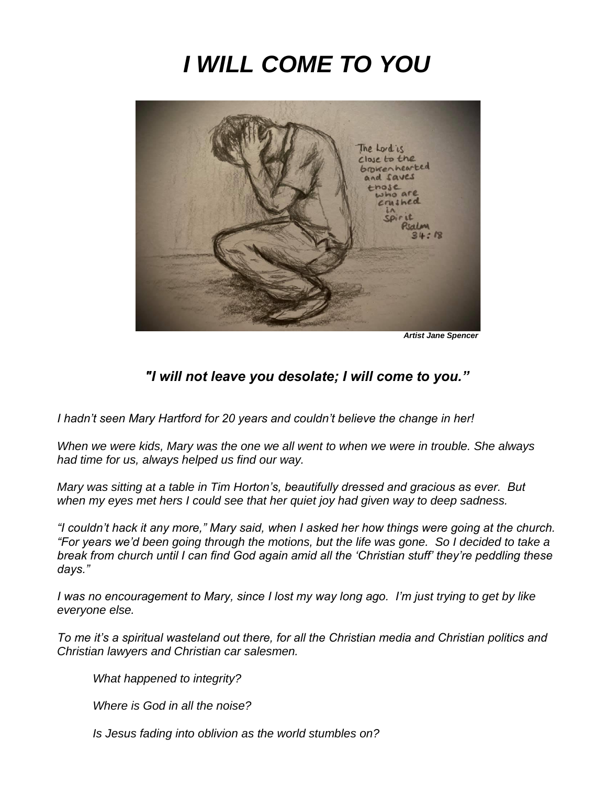# *I WILL COME TO YOU*



*Artist Jane Spencer*

#### *"I will not leave you desolate; I will come to you."*

*I hadn't seen Mary Hartford for 20 years and couldn't believe the change in her!* 

*When we were kids, Mary was the one we all went to when we were in trouble. She always had time for us, always helped us find our way.*

*Mary was sitting at a table in Tim Horton's, beautifully dressed and gracious as ever. But when my eyes met hers I could see that her quiet joy had given way to deep sadness.* 

*"I couldn't hack it any more," Mary said, when I asked her how things were going at the church. "For years we'd been going through the motions, but the life was gone. So I decided to take a break from church until I can find God again amid all the 'Christian stuff' they're peddling these days."*

*I was no encouragement to Mary, since I lost my way long ago. I'm just trying to get by like everyone else.*

*To me it's a spiritual wasteland out there, for all the Christian media and Christian politics and Christian lawyers and Christian car salesmen.* 

*What happened to integrity?*

*Where is God in all the noise?* 

*Is Jesus fading into oblivion as the world stumbles on?*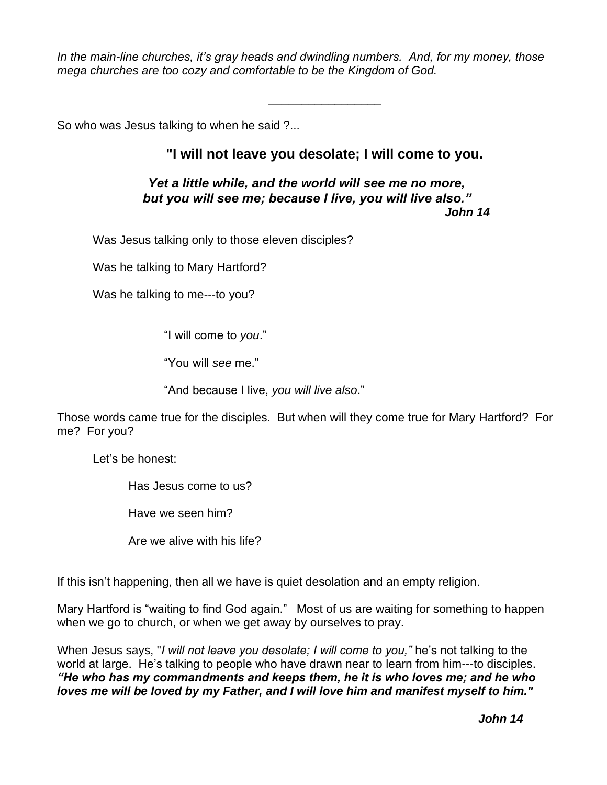*In the main-line churches, it's gray heads and dwindling numbers. And, for my money, those mega churches are too cozy and comfortable to be the Kingdom of God.*

So who was Jesus talking to when he said ?...

#### **"I will not leave you desolate; I will come to you.**

\_\_\_\_\_\_\_\_\_\_\_\_\_\_\_\_\_

#### *Yet a little while, and the world will see me no more, but you will see me; because I live, you will live also." John 14*

Was Jesus talking only to those eleven disciples?

Was he talking to Mary Hartford?

Was he talking to me---to you?

"I will come to *you*."

"You will *see* me."

"And because I live, *you will live also*."

Those words came true for the disciples. But when will they come true for Mary Hartford? For me? For you?

Let's be honest:

Has Jesus come to us?

Have we seen him?

Are we alive with his life?

If this isn't happening, then all we have is quiet desolation and an empty religion.

Mary Hartford is "waiting to find God again." Most of us are waiting for something to happen when we go to church, or when we get away by ourselves to pray.

When Jesus says, "*I will not leave you desolate; I will come to you,"* he's not talking to the world at large. He's talking to people who have drawn near to learn from him---to disciples. *"He who has my commandments and keeps them, he it is who loves me; and he who loves me will be loved by my Father, and I will love him and manifest myself to him."*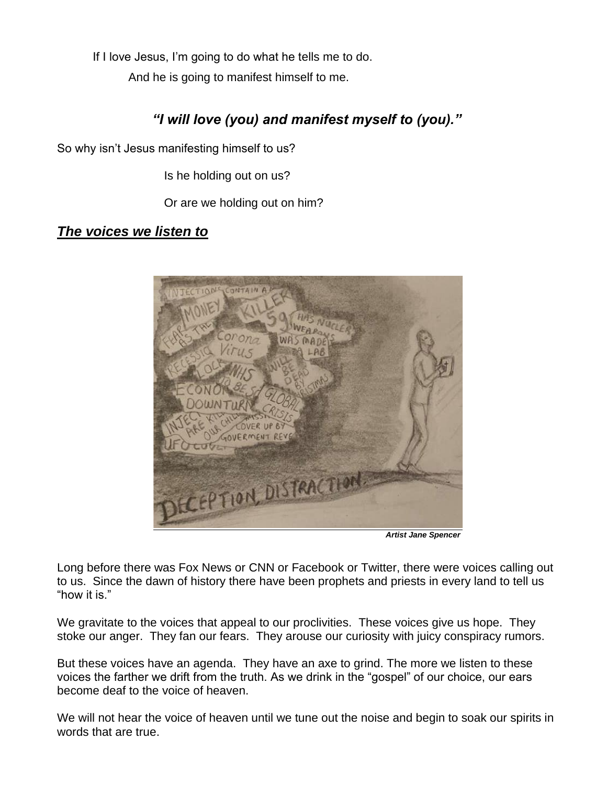If I love Jesus, I'm going to do what he tells me to do. And he is going to manifest himself to me.

## *"I will love (you) and manifest myself to (you)."*

So why isn't Jesus manifesting himself to us?

Is he holding out on us?

Or are we holding out on him?

*The voices we listen to*



*Artist Jane Spencer*

Long before there was Fox News or CNN or Facebook or Twitter, there were voices calling out to us. Since the dawn of history there have been prophets and priests in every land to tell us "how it is."

We gravitate to the voices that appeal to our proclivities. These voices give us hope. They stoke our anger. They fan our fears. They arouse our curiosity with juicy conspiracy rumors.

But these voices have an agenda. They have an axe to grind. The more we listen to these voices the farther we drift from the truth. As we drink in the "gospel" of our choice, our ears become deaf to the voice of heaven.

We will not hear the voice of heaven until we tune out the noise and begin to soak our spirits in words that are true.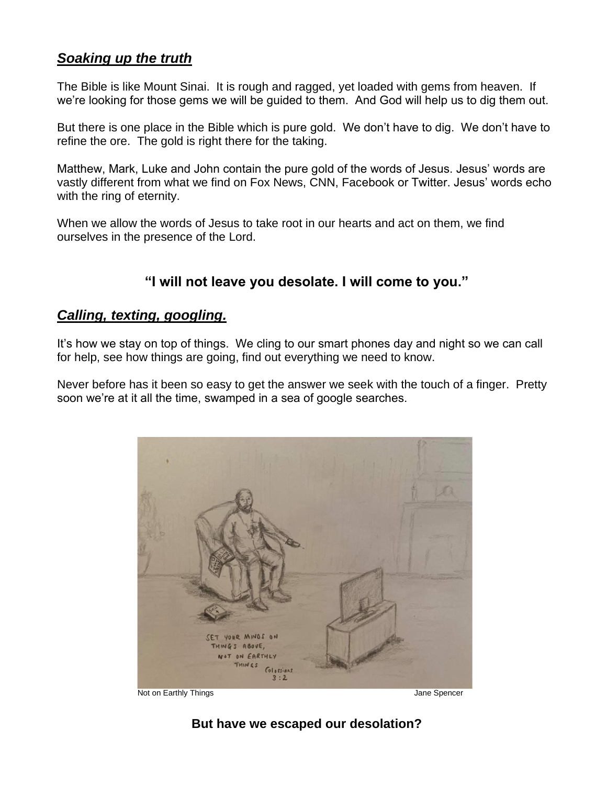### *Soaking up the truth*

The Bible is like Mount Sinai. It is rough and ragged, yet loaded with gems from heaven. If we're looking for those gems we will be guided to them. And God will help us to dig them out.

But there is one place in the Bible which is pure gold. We don't have to dig. We don't have to refine the ore. The gold is right there for the taking.

Matthew, Mark, Luke and John contain the pure gold of the words of Jesus. Jesus' words are vastly different from what we find on Fox News, CNN, Facebook or Twitter. Jesus' words echo with the ring of eternity.

When we allow the words of Jesus to take root in our hearts and act on them, we find ourselves in the presence of the Lord.

### **"I will not leave you desolate. I will come to you."**

#### *Calling, texting, googling.*

It's how we stay on top of things. We cling to our smart phones day and night so we can call for help, see how things are going, find out everything we need to know.

Never before has it been so easy to get the answer we seek with the touch of a finger. Pretty soon we're at it all the time, swamped in a sea of google searches.



Not on Earthly Things **Value 2018** 2019 12:30 Apr 2019 12:30 Apr 2019 12:30 Apr 2019 12:30 Apr 2019 12:30 Apr 20

**But have we escaped our desolation?**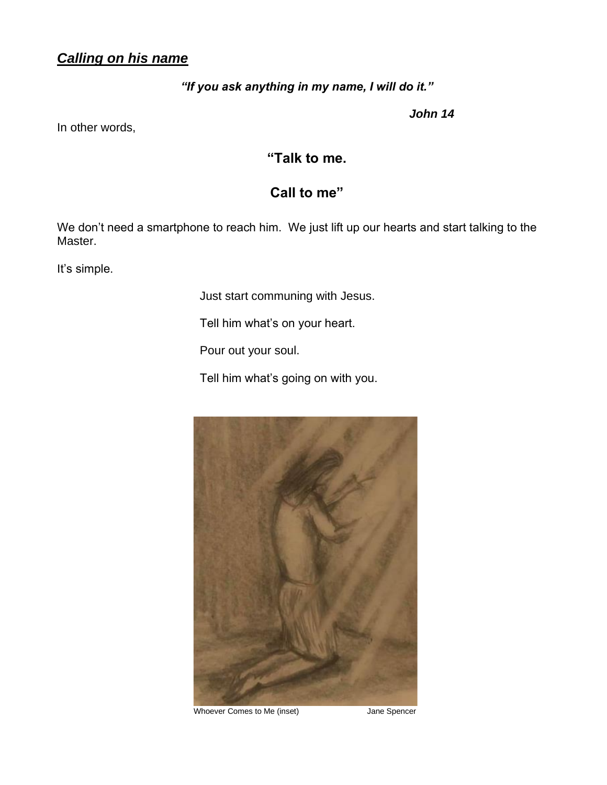## *Calling on his name*

#### *"If you ask anything in my name, I will do it."*

*John 14*

In other words,

**"Talk to me.** 

## **Call to me"**

We don't need a smartphone to reach him. We just lift up our hearts and start talking to the Master.

It's simple.

Just start communing with Jesus.

Tell him what's on your heart.

Pour out your soul.

Tell him what's going on with you.



Whoever Comes to Me (inset) Jane Spencer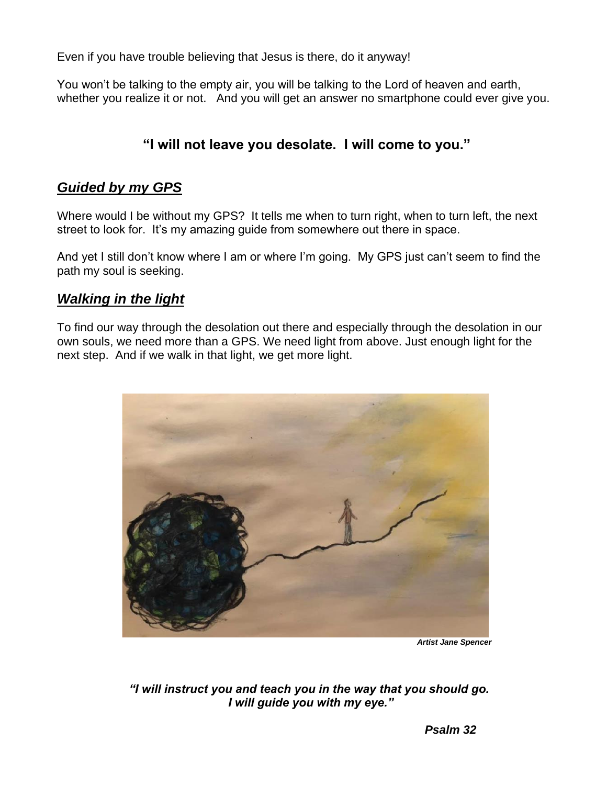Even if you have trouble believing that Jesus is there, do it anyway!

You won't be talking to the empty air, you will be talking to the Lord of heaven and earth, whether you realize it or not. And you will get an answer no smartphone could ever give you.

## **"I will not leave you desolate. I will come to you."**

#### *Guided by my GPS*

Where would I be without my GPS? It tells me when to turn right, when to turn left, the next street to look for. It's my amazing guide from somewhere out there in space.

And yet I still don't know where I am or where I'm going. My GPS just can't seem to find the path my soul is seeking.

### *Walking in the light*

To find our way through the desolation out there and especially through the desolation in our own souls, we need more than a GPS. We need light from above. Just enough light for the next step. And if we walk in that light, we get more light.



*Artist Jane Spencer*

*"I will instruct you and teach you in the way that you should go. I will guide you with my eye."*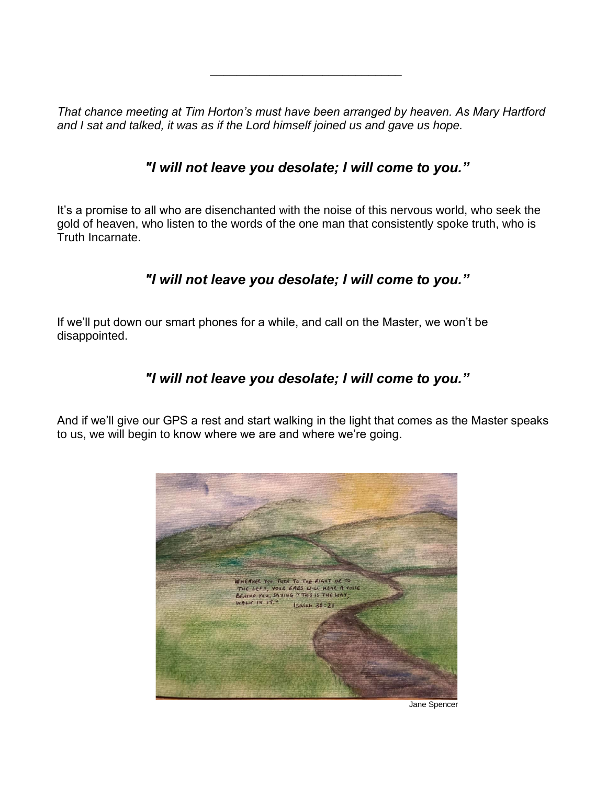*That chance meeting at Tim Horton's must have been arranged by heaven. As Mary Hartford and I sat and talked, it was as if the Lord himself joined us and gave us hope.* 

*\_\_\_\_\_\_\_\_\_\_\_\_\_\_\_\_\_\_\_\_\_\_\_\_\_\_\_\_\_*

## *"I will not leave you desolate; I will come to you."*

It's a promise to all who are disenchanted with the noise of this nervous world, who seek the gold of heaven, who listen to the words of the one man that consistently spoke truth, who is Truth Incarnate.

## *"I will not leave you desolate; I will come to you."*

If we'll put down our smart phones for a while, and call on the Master, we won't be disappointed.

### *"I will not leave you desolate; I will come to you."*

And if we'll give our GPS a rest and start walking in the light that comes as the Master speaks to us, we will begin to know where we are and where we're going.



Jane Spencer